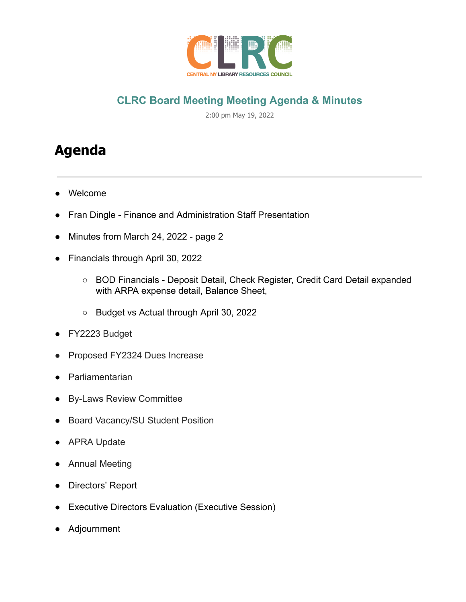

# **CLRC Board Meeting Meeting Agenda & Minutes**

2:00 pm May 19, 2022

# **Agenda**

- Welcome
- Fran Dingle Finance and Administration Staff Presentation
- Minutes from March 24, 2022 page 2
- Financials through April 30, 2022
	- BOD Financials Deposit Detail, Check Register, Credit Card Detail expanded with ARPA expense detail, Balance Sheet,
	- Budget vs Actual through April 30, 2022
- FY2223 Budget
- Proposed FY2324 Dues Increase
- Parliamentarian
- **By-Laws Review Committee**
- **Board Vacancy/SU Student Position**
- **APRA Update**
- Annual Meeting
- Directors' Report
- **Executive Directors Evaluation (Executive Session)**
- Adjournment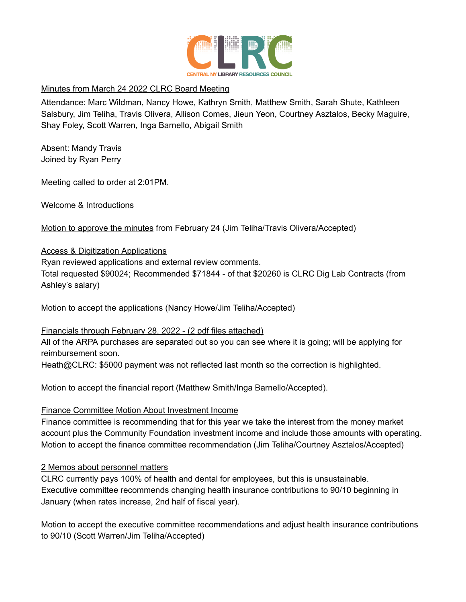

#### Minutes from March 24 2022 CLRC Board Meeting

Attendance: Marc Wildman, Nancy Howe, Kathryn Smith, Matthew Smith, Sarah Shute, Kathleen Salsbury, Jim Teliha, Travis Olivera, Allison Comes, Jieun Yeon, Courtney Asztalos, Becky Maguire, Shay Foley, Scott Warren, Inga Barnello, Abigail Smith

Absent: Mandy Travis Joined by Ryan Perry

Meeting called to order at 2:01PM.

Welcome & Introductions

Motion to approve the minutes from February 24 (Jim Teliha/Travis Olivera/Accepted)

#### Access & Digitization Applications

Ryan reviewed applications and external review comments.

Total requested \$90024; Recommended \$71844 - of that \$20260 is CLRC Dig Lab Contracts (from Ashley's salary)

Motion to accept the applications (Nancy Howe/Jim Teliha/Accepted)

#### Financials through February 28, 2022 - (2 pdf files attached)

All of the ARPA purchases are separated out so you can see where it is going; will be applying for reimbursement soon.

Heath@CLRC: \$5000 payment was not reflected last month so the correction is highlighted.

Motion to accept the financial report (Matthew Smith/Inga Barnello/Accepted).

## Finance Committee Motion About Investment Income

Finance committee is recommending that for this year we take the interest from the money market account plus the Community Foundation investment income and include those amounts with operating. Motion to accept the finance committee recommendation (Jim Teliha/Courtney Asztalos/Accepted)

## 2 Memos about personnel matters

CLRC currently pays 100% of health and dental for employees, but this is unsustainable. Executive committee recommends changing health insurance contributions to 90/10 beginning in January (when rates increase, 2nd half of fiscal year).

Motion to accept the executive committee recommendations and adjust health insurance contributions to 90/10 (Scott Warren/Jim Teliha/Accepted)